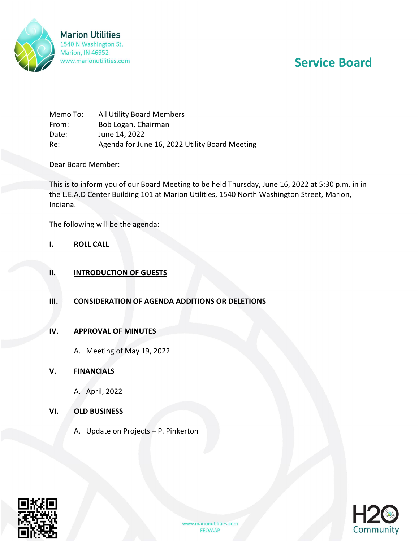# Service Board



| Memo To: | <b>All Utility Board Members</b>               |
|----------|------------------------------------------------|
| From:    | Bob Logan, Chairman                            |
| Date:    | June 14, 2022                                  |
| Re:      | Agenda for June 16, 2022 Utility Board Meeting |

Dear Board Member:

This is to inform you of our Board Meeting to be held Thursday, June 16, 2022 at 5:30 p.m. in in the L.E.A.D Center Building 101 at Marion Utilities, 1540 North Washington Street, Marion, Indiana.

The following will be the agenda:

I. ROLL CALL

#### **II.** INTRODUCTION OF GUESTS

III. CONSIDERATION OF AGENDA ADDITIONS OR DELETIONS

### IV. APPROVAL OF MINUTES

A. Meeting of May 19, 2022

- V. FINANCIALS
	- A. April, 2022
- VI. OLD BUSINESS
	- A. Update on Projects P. Pinkerton